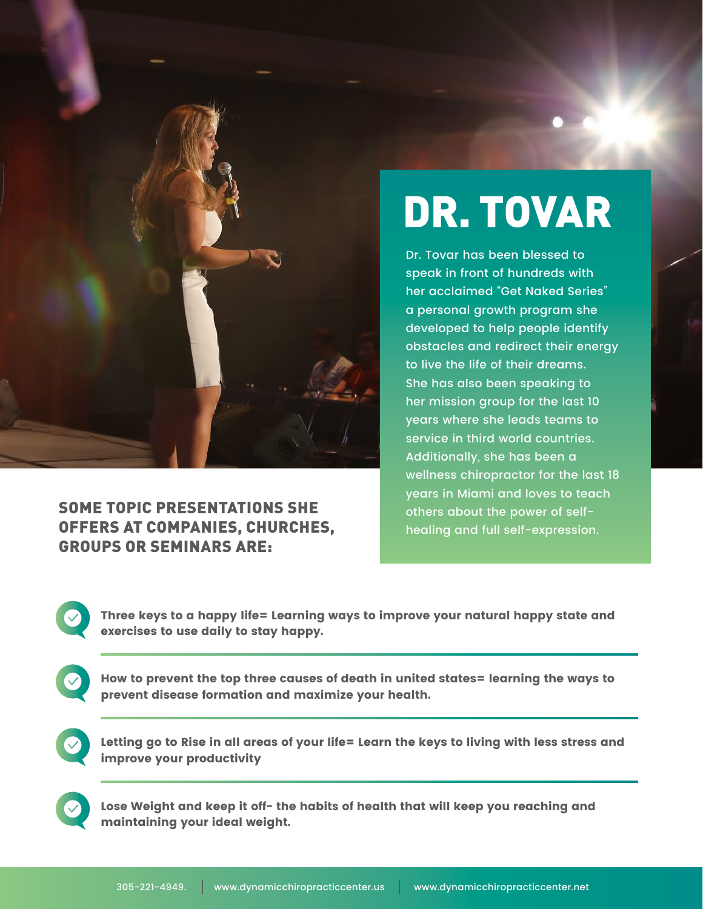

## SOME TOPIC PRESENTATIONS SHE OFFERS AT COMPANIES, CHURCHES, GROUPS OR SEMINARS ARE:

## DR. TOVAR

Dr. Tovar has been blessed to speak in front of hundreds with her acclaimed "Get Naked Series" a personal growth program she developed to help people identify obstacles and redirect their energy to live the life of their dreams. She has also been speaking to her mission group for the last 10 years where she leads teams to service in third world countries. Additionally, she has been a wellness chiropractor for the last 18 years in Miami and loves to teach others about the power of selfhealing and full self-expression.

Three keys to a happy life= Learning ways to improve your natural happy state and exercises to use daily to stay happy.

How to prevent the top three causes of death in united states= learning the ways to prevent disease formation and maximize your health.

Letting go to Rise in all areas of your life= Learn the keys to living with less stress and improve your productivity

Lose Weight and keep it off- the habits of health that will keep you reaching and maintaining your ideal weight.